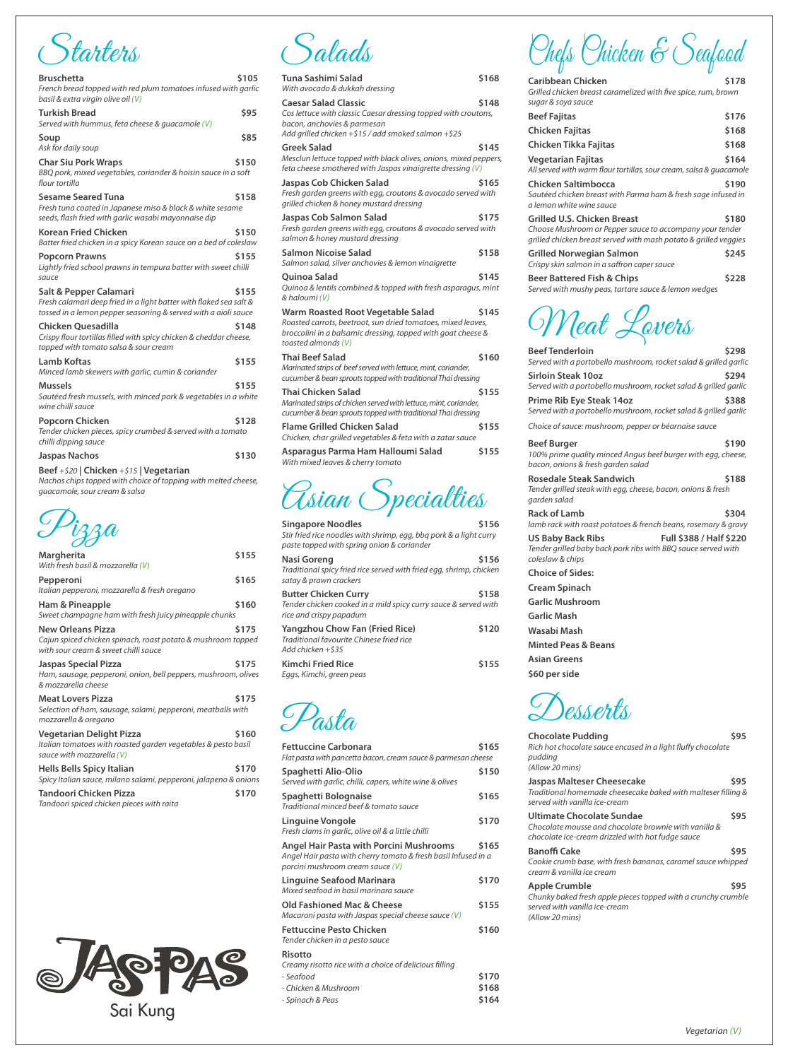Starters

| <b>Bruschetta</b><br>French bread topped with red plum tomatoes infused with garlic<br>basil & extra virgin olive oil (V)                                      | \$105 |
|----------------------------------------------------------------------------------------------------------------------------------------------------------------|-------|
| <b>Turkish Bread</b><br>Served with hummus, feta cheese & guacamole (V)                                                                                        | \$95  |
| Soup<br>Ask for daily soup                                                                                                                                     | \$85  |
| <b>Char Siu Pork Wraps</b><br>BBQ pork, mixed vegetables, coriander & hoisin sauce in a soft<br>flour tortilla                                                 | \$150 |
| <b>Sesame Seared Tuna</b><br>Fresh tuna coated in Japanese miso & black & white sesame<br>seeds, flash fried with garlic wasabi mayonnaise dip                 | \$158 |
| <b>Korean Fried Chicken</b><br>Batter fried chicken in a spicy Korean sauce on a bed of coleslaw                                                               | \$150 |
| <b>Popcorn Prawns</b><br>Lightly fried school prawns in tempura batter with sweet chilli<br>sauce                                                              | \$155 |
| Salt & Pepper Calamari<br>Fresh calamari deep fried in a light batter with flaked sea salt &<br>tossed in a lemon pepper seasoning & served with a aioli sauce | \$155 |
| <b>Chicken Ouesadilla</b><br>Crispy flour tortillas filled with spicy chicken & cheddar cheese,<br>topped with tomato salsa & sour cream                       | \$148 |
| Lamb Koftas<br>Minced lamb skewers with garlic, cumin & coriander                                                                                              | \$155 |
| Mussels<br>Sautéed fresh mussels, with minced pork & vegetables in a white<br>wine chilli sauce                                                                | \$155 |
| Popcorn Chicken<br>Tender chicken pieces, spicy crumbed & served with a tomato<br>chilli dipping sauce                                                         | \$128 |
| <b>Jaspas Nachos</b>                                                                                                                                           | \$130 |
| Beef +\$20   Chicken +\$15   Vegetarian<br>Nachos chips topped with choice of topping with melted cheese,<br>quacamole, sour cream & salsa                     |       |

Pizza

| Margherita<br>With fresh basil & mozzarella (V)                                                                                  | \$155 |
|----------------------------------------------------------------------------------------------------------------------------------|-------|
| Pepperoni<br>Italian pepperoni, mozzarella & fresh oregano                                                                       | \$165 |
| Ham & Pineapple<br>Sweet champagne ham with fresh juicy pineapple chunks                                                         | \$160 |
| <b>New Orleans Pizza</b><br>Cajun spiced chicken spinach, roast potato & mushroom topped<br>with sour cream & sweet chilli sauce | \$175 |
| Jaspas Special Pizza<br>Ham, sausage, pepperoni, onion, bell peppers, mushroom, olives<br>& mozzarella cheese                    | \$175 |
| <b>Meat Lovers Pizza</b><br>Selection of ham, sausage, salami, pepperoni, meatballs with<br>mozzarella & oregano                 | \$175 |
| <b>Vegetarian Delight Pizza</b><br>Italian tomatoes with roasted garden vegetables & pesto basil<br>sauce with mozzarella (V)    | \$160 |
| Hells Bells Spicy Italian<br>Spicy Italian sauce, milano salami, pepperoni, jalapeno & onions                                    | \$170 |
| Tandoori Chicken Pizza<br>Tandoori spiced chicken pieces with raita                                                              | \$170 |



Salads

| Tuna Sashimi Salad<br>With avocado & dukkah dressing                                                                                                                                     | \$168 |
|------------------------------------------------------------------------------------------------------------------------------------------------------------------------------------------|-------|
| <b>Caesar Salad Classic</b><br>Cos lettuce with classic Caesar dressing topped with croutons,<br>bacon, anchovies & parmesan<br>Add grilled chicken +\$15 / add smoked salmon +\$25      | \$148 |
| Greek Salad<br>Mesclun lettuce topped with black olives, onions, mixed peppers,<br>feta cheese smothered with Jaspas vinaigrette dressing (V)                                            | \$145 |
| Jaspas Cob Chicken Salad<br>Fresh garden greens with egg, croutons & avocado served with<br>grilled chicken & honey mustard dressing                                                     | \$165 |
| Jaspas Cob Salmon Salad<br>Fresh garden greens with egg, croutons & avocado served with<br>salmon & honey mustard dressing                                                               | \$175 |
| Salmon Nicoise Salad<br>Salmon salad, silver anchovies & lemon vinaigrette                                                                                                               | \$158 |
| Quinoa Salad<br>Quinoa & lentils combined & topped with fresh asparagus, mint<br>& haloumi (V)                                                                                           | \$145 |
| Warm Roasted Root Vegetable Salad<br>Roasted carrots, beetroot, sun dried tomatoes, mixed leaves,<br>broccolini in a balsamic dressing, topped with goat cheese &<br>toasted almonds (V) | \$145 |
| Thai Beef Salad<br>Marinated strips of beef served with lettuce, mint, coriander,<br>cucumber & bean sprouts topped with traditional Thai dressing                                       | \$160 |
| Thai Chicken Salad<br>Marinated strips of chicken served with lettuce, mint, coriander,<br>cucumber & bean sprouts topped with traditional Thai dressing                                 | \$155 |
| Flame Grilled Chicken Salad<br>Chicken, char grilled vegetables & feta with a zatar sauce                                                                                                | \$155 |
| Asparagus Parma Ham Halloumi Salad<br>With mixed leaves & cherry tomato                                                                                                                  | \$155 |
| Asian Specialties                                                                                                                                                                        |       |

| Singapore Noodles                                      | Stir fried rice noodles with shrimp, egg, bbg pork & a light curry<br>paste topped with spring onion & coriander | \$156 |
|--------------------------------------------------------|------------------------------------------------------------------------------------------------------------------|-------|
| Nasi Goreng<br>satay & prawn crackers                  | Traditional spicy fried rice served with fried egg, shrimp, chicken                                              | \$156 |
| <b>Butter Chicken Curry</b><br>rice and crispy papadum | Tender chicken cooked in a mild spicy curry sauce & served with                                                  | \$158 |
| Add chicken $+$ \$35                                   | Yangzhou Chow Fan (Fried Rice)<br>Traditional favourite Chinese fried rice                                       | \$120 |
| <b>Kimchi Fried Rice</b><br>Eggs, Kimchi, green peas   |                                                                                                                  | \$155 |

Pasta

| Fettuccine Carbonara<br>Flat pasta with pancetta bacon, cream sauce & parmesan cheese                                                         | \$165 |
|-----------------------------------------------------------------------------------------------------------------------------------------------|-------|
| Spaghetti Alio-Olio<br>Served with garlic, chilli, capers, white wine & olives                                                                | \$150 |
| Spaghetti Bolognaise<br>Traditional minced beef & tomato sauce                                                                                | \$165 |
| Linguine Vongole<br>Fresh clams in garlic, olive oil & a little chilli                                                                        | \$170 |
| Angel Hair Pasta with Porcini Mushrooms<br>Angel Hair pasta with cherry tomato & fresh basil Infused in a<br>porcini mushroom cream sauce (V) | \$165 |
| Linguine Seafood Marinara<br>Mixed seafood in basil marinara sauce                                                                            | \$170 |
| Old Fashioned Mac & Cheese<br>Macaroni pasta with Jaspas special cheese sauce (V)                                                             | \$155 |
| <b>Fettuccine Pesto Chicken</b><br>Tender chicken in a pesto sauce                                                                            | \$160 |
| Risotto<br>Creamy risotto rice with a choice of delicious filling                                                                             |       |
| - Seafood                                                                                                                                     | \$170 |
| - Chicken & Mushroom                                                                                                                          | \$168 |
| - Spinach & Peas                                                                                                                              | \$164 |
|                                                                                                                                               |       |

Chefs Chicken & Seafood

| Caribbean Chicken                                                                                                                                                           | \$178 |
|-----------------------------------------------------------------------------------------------------------------------------------------------------------------------------|-------|
| Grilled chicken breast caramelized with five spice, rum, brown<br>sugar & soya sauce                                                                                        |       |
| <b>Beef Fajitas</b>                                                                                                                                                         | \$176 |
| Chicken Fajitas                                                                                                                                                             | \$168 |
| Chicken Tikka Fajitas                                                                                                                                                       | \$168 |
| <b>Vegetarian Fajitas</b><br>All served with warm flour tortillas, sour cream, salsa & quacamole                                                                            | \$164 |
| Chicken Saltimbocca<br>Sautéed chicken breast with Parma ham & fresh sage infused in<br>a lemon white wine sauce                                                            | \$190 |
| <b>Grilled U.S. Chicken Breast</b><br>\$180<br>Choose Mushroom or Pepper sauce to accompany your tender<br>grilled chicken breast served with mash potato & grilled veggies |       |
| Grilled Norwegian Salmon<br>Crispy skin salmon in a saffron caper sauce                                                                                                     | \$245 |
| Beer Battered Fish & Chips<br>Served with mushy peas, tartare sauce & lemon wedges                                                                                          | \$228 |

Meat Lovers

| <b>Beef Tenderloin</b>                                                                                                    | \$298      |
|---------------------------------------------------------------------------------------------------------------------------|------------|
| Served with a portobello mushroom, rocket salad & grilled garlic                                                          |            |
| Sirloin Steak 10oz<br>Served with a portobello mushroom, rocket salad & grilled garlic                                    | \$294      |
| Prime Rib Eye Steak 14oz<br>Served with a portobello mushroom, rocket salad & grilled garlic                              | \$388      |
| Choice of sauce: mushroom, pepper or béarnaise sauce                                                                      |            |
| <b>Beef Burger</b><br>100% prime quality minced Angus beef burger with egg, cheese,<br>bacon, onions & fresh garden salad | \$190      |
| <b>Rosedale Steak Sandwich</b><br>Tender grilled steak with egg, cheese, bacon, onions & fresh<br>garden salad            | \$188      |
| لمالمسم الكنداء والمتعالم                                                                                                 | <b>COO</b> |

Rack of Lamb **\$304** *lamb rack with roast potatoes & french beans, rosemary & gravy* **US Baby Back Ribs Full \$388 / Half \$220** *Tender grilled baby back pork ribs with BBQ sauce served with coleslaw & chips*  **Choice of Sides:**

**Cream Spinach**

**Garlic Mushroom**

- **Garlic Mash**
- **Wasabi Mash**

**Minted Peas & Beans**

- **Asian Greens \$60 per side**
- $\sigma$

| <u>S sessents</u>                                                                                                                       |             |
|-----------------------------------------------------------------------------------------------------------------------------------------|-------------|
| <b>Chocolate Pudding</b><br>Rich hot chocolate sauce encased in a light fluffy chocolate<br>pudding<br>(Allow 20 mins)                  | <b>\$95</b> |
| Jaspas Malteser Cheesecake<br>Traditional homemade cheesecake baked with malteser filling &<br>served with vanilla ice-cream            | <b>\$95</b> |
| Ultimate Chocolate Sundae<br>Chocolate mousse and chocolate brownie with vanilla &<br>chocolate ice-cream drizzled with hot fudge sauce | \$95        |
| Banoffi Cake<br>Cookie crumb base, with fresh bananas, caramel sauce whipped<br>cream & vanilla ice cream                               | <b>\$95</b> |
| Apple Crumble<br>Chunky baked fresh apple pieces topped with a crunchy crumble<br>served with vanilla ice-cream<br>(Allow 20 mins)      | <b>\$95</b> |